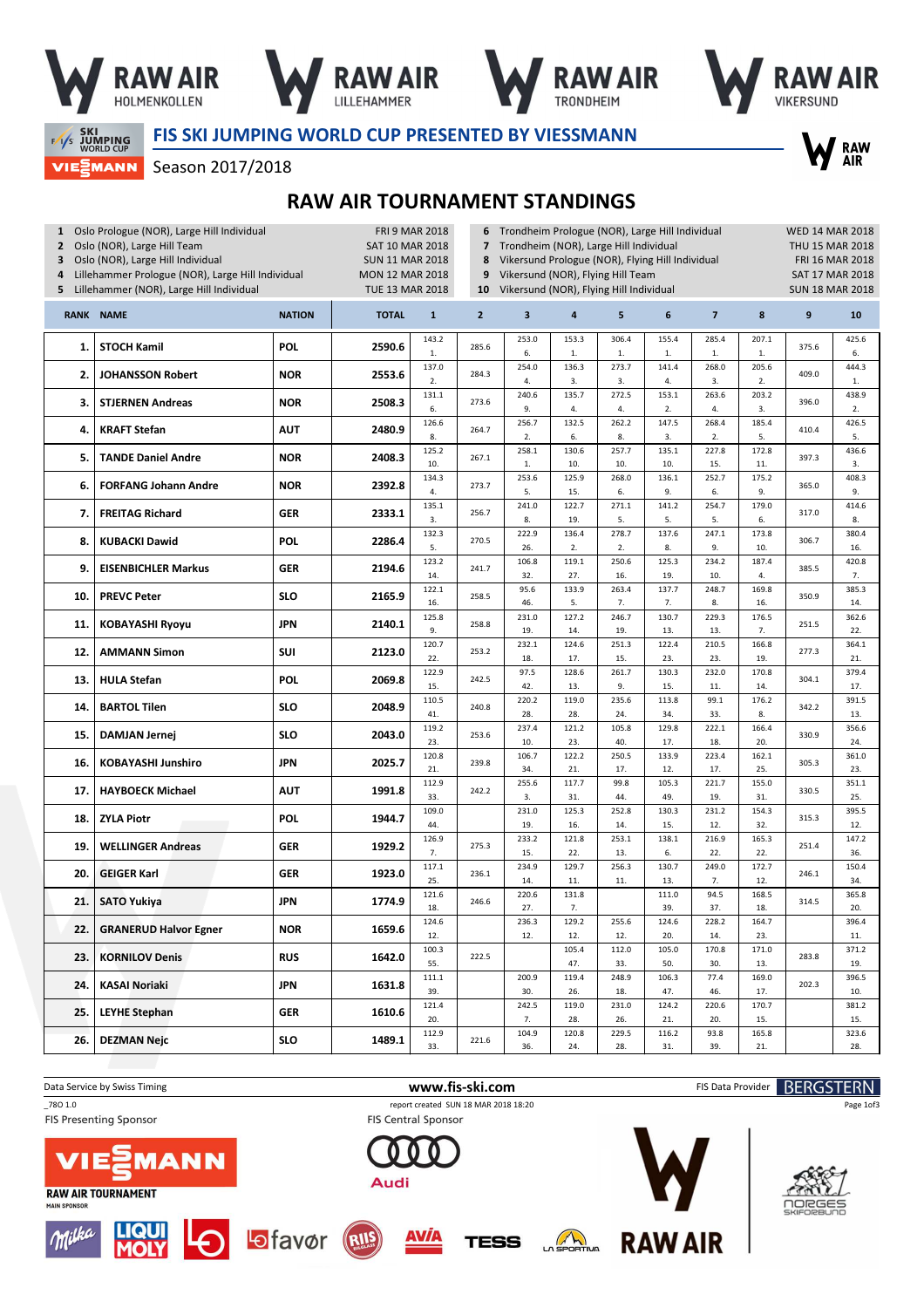







RAW<br>AIR

**FAS SKI<br>FAS JUMPING**<br>WORLD CUP

FIS SKI JUMPING WORLD CUP PRESENTED BY VIESSMANN

**VIEWANN** Season 2017/2018

## RAW AIR TOURNAMENT STANDINGS

| 1 Oslo Prologue (NOR), Large Hill Individual<br>Oslo (NOR), Large Hill Team<br>$\mathbf{2}$<br>Oslo (NOR), Large Hill Individual<br>3<br>Lillehammer Prologue (NOR), Large Hill Individual<br>4<br>Lillehammer (NOR), Large Hill Individual<br>5 |                              |               | <b>FRI 9 MAR 2018</b><br><b>SAT 10 MAR 2018</b><br><b>SUN 11 MAR 2018</b><br><b>MON 12 MAR 2018</b><br><b>TUE 13 MAR 2018</b> | 6<br>$\overline{z}$<br>8<br>9<br>10 | Trondheim Prologue (NOR), Large Hill Individual<br>Trondheim (NOR), Large Hill Individual<br>Vikersund Prologue (NOR), Flying Hill Individual<br>Vikersund (NOR), Flying Hill Team<br>Vikersund (NOR), Flying Hill Individual |                         | <b>WED 14 MAR 2018</b><br>THU 15 MAR 2018<br>FRI 16 MAR 2018<br>SAT 17 MAR 2018<br><b>SUN 18 MAR 2018</b> |                       |                       |                      |                      |       |                       |
|--------------------------------------------------------------------------------------------------------------------------------------------------------------------------------------------------------------------------------------------------|------------------------------|---------------|-------------------------------------------------------------------------------------------------------------------------------|-------------------------------------|-------------------------------------------------------------------------------------------------------------------------------------------------------------------------------------------------------------------------------|-------------------------|-----------------------------------------------------------------------------------------------------------|-----------------------|-----------------------|----------------------|----------------------|-------|-----------------------|
|                                                                                                                                                                                                                                                  | <b>RANK NAME</b>             | <b>NATION</b> | <b>TOTAL</b>                                                                                                                  | $\mathbf{1}$                        | $\overline{2}$                                                                                                                                                                                                                | $\overline{\mathbf{3}}$ | 4                                                                                                         | 5                     | 6                     | $\overline{7}$       | 8                    | 9     | 10                    |
| 1.                                                                                                                                                                                                                                               | <b>STOCH Kamil</b>           | <b>POL</b>    | 2590.6                                                                                                                        | 143.2<br>1.                         | 285.6                                                                                                                                                                                                                         | 253.0<br>6.             | 153.3<br>1.                                                                                               | 306.4<br>$1. \,$      | 155.4<br>$1.$         | 285.4<br>$1.$        | 207.1<br>$1.$        | 375.6 | 425.6<br>6.           |
| 2.                                                                                                                                                                                                                                               | <b>JOHANSSON Robert</b>      | <b>NOR</b>    | 2553.6                                                                                                                        | 137.0<br>2.                         | 284.3                                                                                                                                                                                                                         | 254.0<br>4.             | 136.3<br>3.                                                                                               | 273.7<br>3.           | 141.4<br>4.           | 268.0<br>3.          | 205.6<br>2.          | 409.0 | 444.3<br>$1.$         |
| З.                                                                                                                                                                                                                                               | <b>STJERNEN Andreas</b>      | <b>NOR</b>    | 2508.3                                                                                                                        | 131.1<br>6.                         | 273.6                                                                                                                                                                                                                         | 240.6<br>9.             | 135.7<br>4.                                                                                               | 272.5<br>4.           | 153.1<br>2.           | 263.6<br>4.          | 203.2<br>3.          | 396.0 | 438.9<br>2.           |
| 4.                                                                                                                                                                                                                                               | <b>KRAFT Stefan</b>          | <b>AUT</b>    | 2480.9                                                                                                                        | 126.6<br>8.                         | 264.7                                                                                                                                                                                                                         | 256.7<br>2.             | 132.5<br>6.                                                                                               | 262.2<br>8.           | 147.5<br>3.           | 268.4<br>2.          | 185.4<br>5.          | 410.4 | 426.5<br>5.           |
| 5.                                                                                                                                                                                                                                               | <b>TANDE Daniel Andre</b>    | <b>NOR</b>    | 2408.3                                                                                                                        | 125.2<br>10.                        | 267.1                                                                                                                                                                                                                         | 258.1<br>1.             | 130.6<br>10.                                                                                              | 257.7<br>10.          | 135.1<br>10.          | 227.8<br>15.         | 172.8<br>11.         | 397.3 | 436.6<br>3.           |
| 6.                                                                                                                                                                                                                                               | <b>FORFANG Johann Andre</b>  | <b>NOR</b>    | 2392.8                                                                                                                        | 134.3<br>4.                         | 273.7                                                                                                                                                                                                                         | 253.6<br>5.             | 125.9<br>15.                                                                                              | 268.0<br>6.           | 136.1<br>9.           | 252.7<br>6.          | 175.2<br>9.          | 365.0 | 408.3<br>9.           |
| 7.                                                                                                                                                                                                                                               | <b>FREITAG Richard</b>       | <b>GER</b>    | 2333.1                                                                                                                        | 135.1<br>3.                         | 256.7                                                                                                                                                                                                                         | 241.0<br>8.             | 122.7<br>19.                                                                                              | 271.1<br>5.           | 141.2<br>5.           | 254.7<br>5.          | 179.0<br>6.          | 317.0 | 414.6<br>8.           |
| 8.                                                                                                                                                                                                                                               | <b>KUBACKI Dawid</b>         | <b>POL</b>    | 2286.4                                                                                                                        | 132.3<br>5.                         | 270.5                                                                                                                                                                                                                         | 222.9<br>26.            | 136.4<br>2.                                                                                               | 278.7<br>2.           | 137.6<br>8.           | 247.1<br>9.          | 173.8<br>10.         | 306.7 | 380.4<br>16.          |
| 9.                                                                                                                                                                                                                                               | <b>EISENBICHLER Markus</b>   | <b>GER</b>    | 2194.6                                                                                                                        | 123.2<br>14.                        | 241.7                                                                                                                                                                                                                         | 106.8<br>32.            | 119.1<br>27.                                                                                              | 250.6<br>16.          | 125.3<br>19.          | 234.2<br>10.         | 187.4<br>4.          | 385.5 | 420.8<br>7.           |
| 10.                                                                                                                                                                                                                                              | <b>PREVC Peter</b>           | <b>SLO</b>    | 2165.9                                                                                                                        | 122.1<br>16.                        | 258.5                                                                                                                                                                                                                         | 95.6<br>46.             | 133.9<br>5.                                                                                               | 263.4<br>7.           | 137.7<br>7.           | 248.7<br>8.          | 169.8<br>16.         | 350.9 | 385.3<br>14.          |
| 11.                                                                                                                                                                                                                                              | <b>KOBAYASHI Ryoyu</b>       | <b>JPN</b>    | 2140.1                                                                                                                        | 125.8<br>9.                         | 258.8                                                                                                                                                                                                                         | 231.0<br>19.            | 127.2<br>14.                                                                                              | 246.7<br>19.          | 130.7<br>13.          | 229.3<br>13.         | 176.5<br>7.          | 251.5 | 362.6<br>22.          |
| 12.                                                                                                                                                                                                                                              | <b>AMMANN Simon</b>          | SUI           | 2123.0                                                                                                                        | 120.7<br>22.                        | 253.2                                                                                                                                                                                                                         | 232.1<br>18.            | 124.6<br>17.                                                                                              | 251.3<br>15.          | 122.4<br>23.          | 210.5<br>23.         | 166.8<br>19.         | 277.3 | 364.1<br>21.          |
| 13.                                                                                                                                                                                                                                              | <b>HULA Stefan</b>           | <b>POL</b>    | 2069.8                                                                                                                        | 122.9<br>15.                        | 242.5                                                                                                                                                                                                                         | 97.5<br>42.             | 128.6<br>13.                                                                                              | 261.7<br>9.           | 130.3<br>15.          | 232.0<br>11.         | 170.8<br>14.         | 304.1 | 379.4<br>17.          |
| 14.                                                                                                                                                                                                                                              | <b>BARTOL Tilen</b>          | <b>SLO</b>    | 2048.9                                                                                                                        | 110.5<br>41.<br>119.2               | 240.8                                                                                                                                                                                                                         | 220.2<br>28.<br>237.4   | 119.0<br>28.<br>121.2                                                                                     | 235.6<br>24.<br>105.8 | 113.8<br>34.<br>129.8 | 99.1<br>33.<br>222.1 | 176.2<br>8.<br>166.4 | 342.2 | 391.5<br>13.<br>356.6 |
| 15.                                                                                                                                                                                                                                              | <b>DAMJAN Jernej</b>         | <b>SLO</b>    | 2043.0                                                                                                                        | 23.<br>120.8                        | 253.6                                                                                                                                                                                                                         | 10.<br>106.7            | 23.<br>122.2                                                                                              | 40.<br>250.5          | 17.<br>133.9          | 18.<br>223.4         | 20.<br>162.1         | 330.9 | 24.<br>361.0          |
| 16.                                                                                                                                                                                                                                              | <b>KOBAYASHI Junshiro</b>    | <b>JPN</b>    | 2025.7                                                                                                                        | 21.<br>112.9                        | 239.8                                                                                                                                                                                                                         | 34.<br>255.6            | 21.<br>117.7                                                                                              | 17.<br>99.8           | 12.<br>105.3          | 17.<br>221.7         | 25.<br>155.0         | 305.3 | 23.<br>351.1          |
| 17.                                                                                                                                                                                                                                              | <b>HAYBOECK Michael</b>      | <b>AUT</b>    | 1991.8                                                                                                                        | 33.<br>109.0                        | 242.2                                                                                                                                                                                                                         | 3.<br>231.0             | 31.<br>125.3                                                                                              | 44.<br>252.8          | 49.<br>130.3          | 19.<br>231.2         | 31.<br>154.3         | 330.5 | 25.<br>395.5          |
| 18.                                                                                                                                                                                                                                              | <b>ZYLA Piotr</b>            | <b>POL</b>    | 1944.7                                                                                                                        | 44.<br>126.9                        |                                                                                                                                                                                                                               | 19.<br>233.2            | 16.<br>121.8                                                                                              | 14.<br>253.1          | 15.<br>138.1          | 12.<br>216.9         | 32.<br>165.3         | 315.3 | 12.<br>147.2          |
| 19.                                                                                                                                                                                                                                              | <b>WELLINGER Andreas</b>     | <b>GER</b>    | 1929.2                                                                                                                        | 7.<br>117.1                         | 275.3                                                                                                                                                                                                                         | 15.<br>234.9            | 22.<br>129.7                                                                                              | 13.<br>256.3          | 6.<br>130.7           | 22.<br>249.0         | 22.<br>172.7         | 251.4 | 36.<br>150.4          |
| 20.                                                                                                                                                                                                                                              | <b>GEIGER Karl</b>           | <b>GER</b>    | 1923.0                                                                                                                        | 25.<br>121.6                        | 236.1                                                                                                                                                                                                                         | 14.<br>220.6            | 11.<br>131.8                                                                                              | 11.                   | 13.<br>111.0          | 7.<br>94.5           | 12.<br>168.5         | 246.1 | 34.<br>365.8          |
| 21.                                                                                                                                                                                                                                              | <b>SATO Yukiya</b>           | <b>JPN</b>    | 1774.9                                                                                                                        | 18.<br>124.6                        | 246.6                                                                                                                                                                                                                         | 27.<br>236.3            | 7.<br>129.2                                                                                               | 255.6                 | 39.<br>124.6          | 37.<br>228.2         | 18.<br>164.7         | 314.5 | 20.<br>396.4          |
| 22.                                                                                                                                                                                                                                              | <b>GRANERUD Halvor Egner</b> | <b>NOR</b>    | 1659.6                                                                                                                        | 12.<br>100.3                        |                                                                                                                                                                                                                               | 12.                     | 12.<br>105.4                                                                                              | 12.<br>112.0          | 20.<br>105.0          | 14.<br>170.8         | 23.<br>171.0         |       | 11.<br>371.2          |
| 23.                                                                                                                                                                                                                                              | <b>KORNILOV Denis</b>        | <b>RUS</b>    | 1642.0                                                                                                                        | 55.<br>111.1                        | 222.5                                                                                                                                                                                                                         | 200.9                   | 47.<br>119.4                                                                                              | 33.<br>248.9          | 50.<br>106.3          | 30.<br>77.4          | 13.<br>169.0         | 283.8 | 19.<br>396.5          |
| 24.                                                                                                                                                                                                                                              | <b>KASAI Noriaki</b>         | <b>JPN</b>    | 1631.8                                                                                                                        | 39.<br>121.4                        |                                                                                                                                                                                                                               | 30.<br>242.5            | 26.<br>119.0                                                                                              | 18.<br>231.0          | 47.<br>124.2          | 46.<br>220.6         | 17.<br>170.7         | 202.3 | 10.<br>381.2          |
| 25.                                                                                                                                                                                                                                              | <b>LEYHE Stephan</b>         | <b>GER</b>    | 1610.6                                                                                                                        | 20.<br>112.9                        |                                                                                                                                                                                                                               | 7.<br>104.9             | 28.<br>120.8                                                                                              | 26.<br>229.5          | 21.<br>116.2          | 20.<br>93.8          | 15.<br>165.8         |       | 15.<br>323.6          |
| 26.                                                                                                                                                                                                                                              | <b>DEZMAN Nejc</b>           | <b>SLO</b>    | 1489.1                                                                                                                        | 33.                                 | 221.6                                                                                                                                                                                                                         | 36.                     | 24.                                                                                                       | 28.                   | 31.                   | 39.                  | 21.                  |       | 28.                   |

**FIS Presenting Sponsor** 















Audi



**RAW AIR** 



Page 1of3

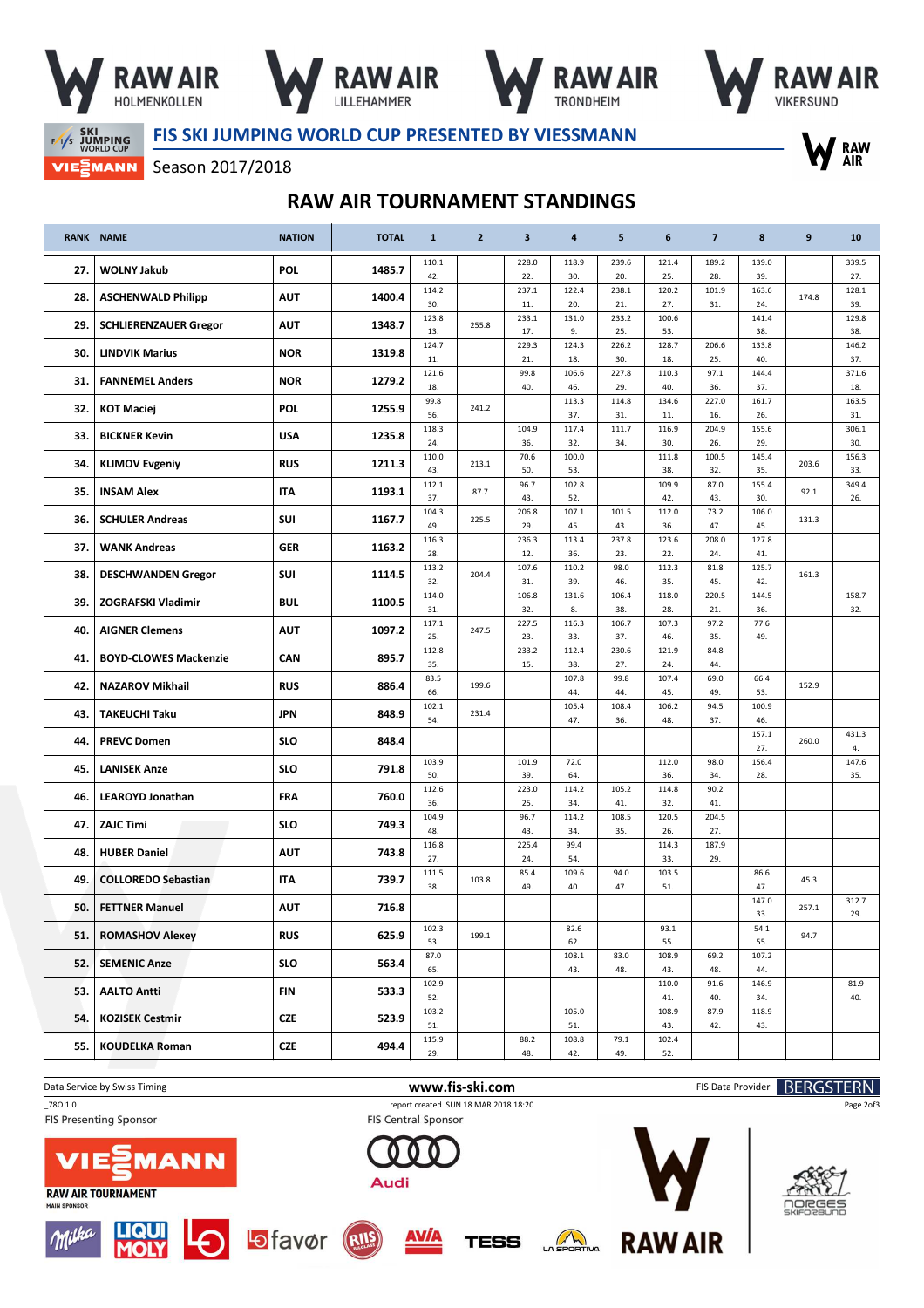







<sup>7</sup> RAW<br>AIR

**SKI SKI WORLD CUP VIEWANN**  FIS SKI JUMPING WORLD CUP PRESENTED BY VIESSMANN

Season 2017/2018

## RAW AIR TOURNAMENT STANDINGS

|     | <b>RANK NAME</b>             | <b>NATION</b> | <b>TOTAL</b> | $\mathbf{1}$ | $\overline{2}$ | $\overline{\mathbf{3}}$ | 4            | 5            | 6            | $\overline{7}$ | 8            | 9     | 10           |
|-----|------------------------------|---------------|--------------|--------------|----------------|-------------------------|--------------|--------------|--------------|----------------|--------------|-------|--------------|
| 27. | <b>WOLNY Jakub</b>           | <b>POL</b>    | 1485.7       | 110.1        |                | 228.0                   | 118.9        | 239.6        | 121.4        | 189.2          | 139.0        |       | 339.5        |
|     |                              |               |              | 42.<br>114.2 |                | 22.<br>237.1            | 30.<br>122.4 | 20.<br>238.1 | 25.<br>120.2 | 28.<br>101.9   | 39.<br>163.6 |       | 27.<br>128.1 |
| 28. | <b>ASCHENWALD Philipp</b>    | <b>AUT</b>    | 1400.4       | 30.          |                | 11.                     | 20.          | 21.          | 27.          | 31.            | 24.          | 174.8 | 39.          |
| 29. |                              | <b>AUT</b>    | 1348.7       | 123.8        | 255.8          | 233.1                   | 131.0        | 233.2        | 100.6        |                | 141.4        |       | 129.8        |
|     | <b>SCHLIERENZAUER Gregor</b> |               |              | 13.          |                | 17.                     | 9.           | 25.          | 53.          |                | 38.          |       | 38.          |
| 30. | <b>LINDVIK Marius</b>        | <b>NOR</b>    | 1319.8       | 124.7<br>11. |                | 229.3<br>21.            | 124.3<br>18. | 226.2<br>30. | 128.7<br>18. | 206.6<br>25.   | 133.8<br>40. |       | 146.2<br>37. |
| 31. | <b>FANNEMEL Anders</b>       | <b>NOR</b>    | 1279.2       | 121.6        |                | 99.8                    | 106.6        | 227.8        | 110.3        | 97.1           | 144.4        |       | 371.6        |
|     |                              |               |              | 18.<br>99.8  |                | 40.                     | 46.<br>113.3 | 29.<br>114.8 | 40.<br>134.6 | 36.<br>227.0   | 37.<br>161.7 |       | 18.<br>163.5 |
| 32. | <b>KOT Maciej</b>            | <b>POL</b>    | 1255.9       | 56.          | 241.2          |                         | 37.          | 31.          | 11.          | 16.            | 26.          |       | 31.          |
| 33. | <b>BICKNER Kevin</b>         | <b>USA</b>    | 1235.8       | 118.3<br>24. |                | 104.9<br>36.            | 117.4<br>32. | 111.7<br>34. | 116.9<br>30. | 204.9<br>26.   | 155.6<br>29. |       | 306.1<br>30. |
|     |                              |               |              | 110.0        |                | 70.6                    | 100.0        |              | 111.8        | 100.5          | 145.4        |       | 156.3        |
| 34. | <b>KLIMOV Evgeniy</b>        | <b>RUS</b>    | 1211.3       | 43.          | 213.1          | 50.                     | 53.          |              | 38.          | 32.            | 35.          | 203.6 | 33.          |
| 35. | <b>INSAM Alex</b>            | ITA           | 1193.1       | 112.1<br>37. | 87.7           | 96.7<br>43.             | 102.8<br>52. |              | 109.9<br>42. | 87.0<br>43.    | 155.4<br>30. | 92.1  | 349.4<br>26. |
|     |                              |               |              | 104.3        |                | 206.8                   | 107.1        | 101.5        | 112.0        | 73.2           | 106.0        |       |              |
| 36. | <b>SCHULER Andreas</b>       | SUI           | 1167.7       | 49.          | 225.5          | 29.                     | 45.          | 43.          | 36.          | 47.            | 45.          | 131.3 |              |
| 37. | <b>WANK Andreas</b>          | <b>GER</b>    | 1163.2       | 116.3        |                | 236.3                   | 113.4        | 237.8        | 123.6        | 208.0          | 127.8        |       |              |
|     |                              |               |              | 28.<br>113.2 |                | 12.<br>107.6            | 36.<br>110.2 | 23.<br>98.0  | 22.<br>112.3 | 24.<br>81.8    | 41.<br>125.7 |       |              |
| 38. | <b>DESCHWANDEN Gregor</b>    | SUI           | 1114.5       | 32.          | 204.4          | 31.                     | 39.          | 46.          | 35.          | 45.            | 42.          | 161.3 |              |
| 39. | <b>ZOGRAFSKI Vladimir</b>    | <b>BUL</b>    | 1100.5       | 114.0<br>31. |                | 106.8<br>32.            | 131.6<br>8.  | 106.4<br>38. | 118.0<br>28. | 220.5<br>21.   | 144.5<br>36. |       | 158.7<br>32. |
|     |                              |               |              | 117.1        |                | 227.5                   | 116.3        | 106.7        | 107.3        | 97.2           | 77.6         |       |              |
| 40. | <b>AIGNER Clemens</b>        | <b>AUT</b>    | 1097.2       | 25.          | 247.5          | 23.                     | 33.          | 37.          | 46.          | 35.            | 49.          |       |              |
| 41. | <b>BOYD-CLOWES Mackenzie</b> | <b>CAN</b>    | 895.7        | 112.8<br>35. |                | 233.2<br>15.            | 112.4<br>38. | 230.6<br>27. | 121.9<br>24. | 84.8<br>44.    |              |       |              |
| 42. | <b>NAZAROV Mikhail</b>       | <b>RUS</b>    | 886.4        | 83.5         | 199.6          |                         | 107.8        | 99.8         | 107.4        | 69.0           | 66.4         | 152.9 |              |
|     |                              |               |              | 66.<br>102.1 |                |                         | 44.<br>105.4 | 44.<br>108.4 | 45.<br>106.2 | 49.<br>94.5    | 53.<br>100.9 |       |              |
| 43. | <b>TAKEUCHI Taku</b>         | <b>JPN</b>    | 848.9        | 54.          | 231.4          |                         | 47.          | 36.          | 48.          | 37.            | 46.          |       |              |
| 44. | <b>PREVC Domen</b>           | <b>SLO</b>    | 848.4        |              |                |                         |              |              |              |                | 157.1<br>27. | 260.0 | 431.3<br>4.  |
| 45. | <b>LANISEK Anze</b>          | <b>SLO</b>    | 791.8        | 103.9        |                | 101.9                   | 72.0         |              | 112.0        | 98.0           | 156.4        |       | 147.6        |
|     |                              |               |              | 50.          |                | 39.                     | 64.          |              | 36.          | 34.            | 28.          |       | 35.          |
| 46. | <b>LEAROYD Jonathan</b>      | FRA           | 760.0        | 112.6<br>36. |                | 223.0<br>25.            | 114.2<br>34. | 105.2<br>41. | 114.8<br>32. | 90.2<br>41.    |              |       |              |
|     |                              |               |              | 104.9        |                | 96.7                    | 114.2        | 108.5        | 120.5        | 204.5          |              |       |              |
| 47. | <b>ZAJC Timi</b>             | <b>SLO</b>    | 749.3        | 48.          |                | 43.                     | 34.          | 35.          | 26.          | 27.            |              |       |              |
| 48. | <b>HUBER Daniel</b>          | <b>AUT</b>    | 743.8        | 116.8<br>27. |                | 225.4<br>24.            | 99.4<br>54.  |              | 114.3<br>33. | 187.9<br>29.   |              |       |              |
| 49. | <b>COLLOREDO Sebastian</b>   | <b>ITA</b>    | 739.7        | 111.5        | 103.8          | 85.4                    | 109.6        | 94.0         | 103.5        |                | 86.6         | 45.3  |              |
|     |                              |               |              | 38.          |                | 49.                     | 40.          | 47.          | 51.          |                | 47.<br>147.0 |       | 312.7        |
| 50. | <b>FETTNER Manuel</b>        | <b>AUT</b>    | 716.8        |              |                |                         |              |              |              |                | 33.          | 257.1 | 29.          |
| 51. | <b>ROMASHOV Alexey</b>       | <b>RUS</b>    | 625.9        | 102.3<br>53. | 199.1          |                         | 82.6<br>62.  |              | 93.1<br>55.  |                | 54.1<br>55.  | 94.7  |              |
| 52. | <b>SEMENIC Anze</b>          | <b>SLO</b>    | 563.4        | 87.0         |                |                         | 108.1        | 83.0         | 108.9        | 69.2           | 107.2        |       |              |
|     |                              |               |              | 65.<br>102.9 |                |                         | 43.          | 48.          | 43.          | 48.            | 44.          |       | 81.9         |
| 53. | <b>AALTO Antti</b>           | <b>FIN</b>    | 533.3        | 52.          |                |                         |              |              | 110.0<br>41. | 91.6<br>40.    | 146.9<br>34. |       | 40.          |
| 54. | <b>KOZISEK Cestmir</b>       | CZE           | 523.9        | 103.2        |                |                         | 105.0        |              | 108.9        | 87.9           | 118.9        |       |              |
|     |                              |               |              | 51.<br>115.9 |                | 88.2                    | 51.<br>108.8 | 79.1         | 43.<br>102.4 | 42.            | 43.          |       |              |
| 55. | <b>KOUDELKA Roman</b>        | CZE           | 494.4        | 29.          |                | 48.                     | 42.          | 49.          | 52.          |                |              |       |              |

Data Service by Swiss Timing **EXECOTER N WWW.fis-ski.com** FIS Data Provider **BERGSTERN** 

\_78O 1.0 report created SUN 18 MAR 2018 18:20

MAIN SPONSOR

**FIS Presenting Sponsor** 

**RAW AIR TOURNAMENT** 



**FIS Central Sponsor** 

AVÍA







Page 2of3









 $M_{\odot}$